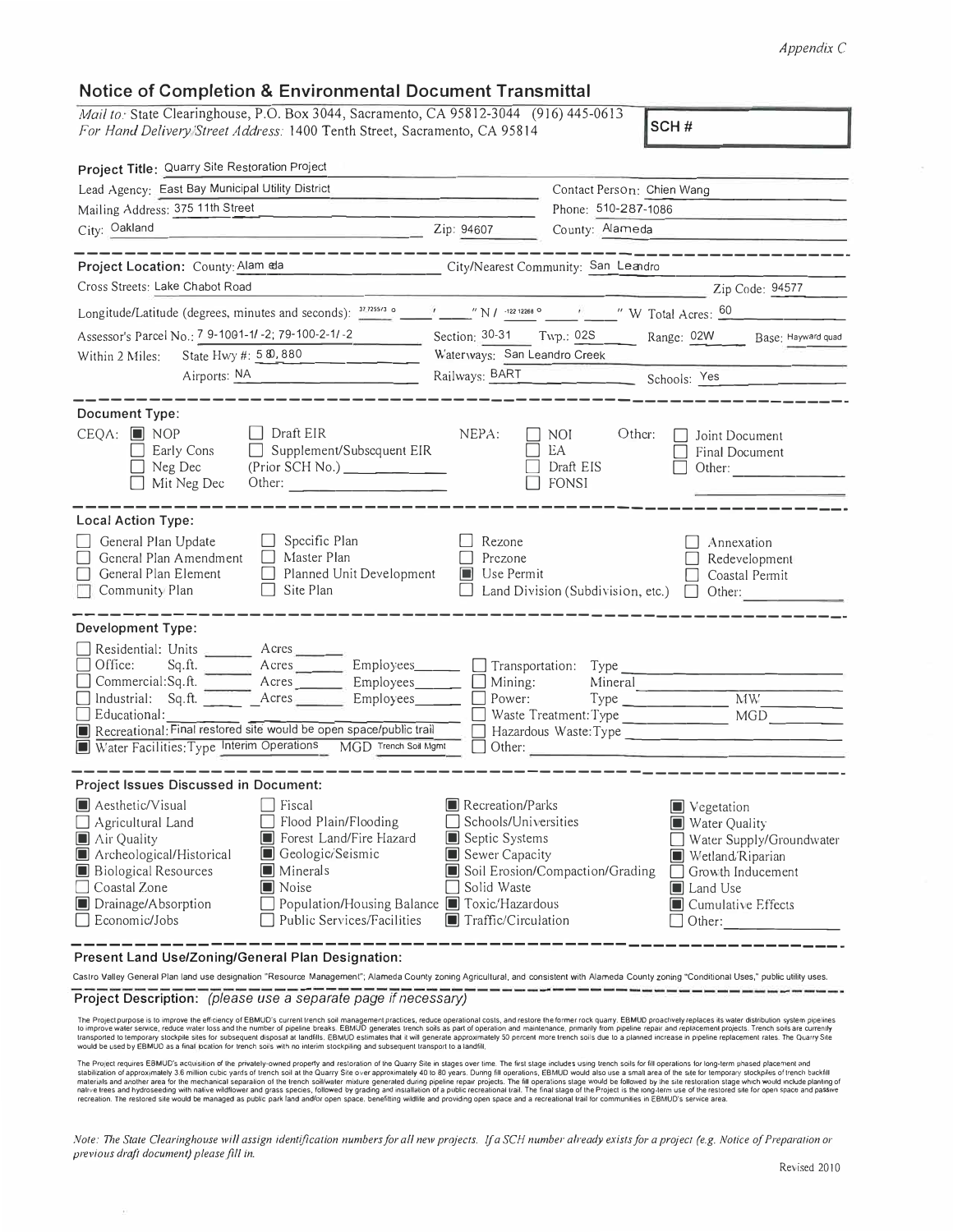## *Appendix* C

## **Notice of Completion & Environmental Document Transmittal**

| <u>NUME OF COMPIUMON &amp; ENVIRONMENTAL DOUGHIUM TRANSMINAL</u>                                                                                                                                                                                                                                                                                                                   |                                                                                                                               |                                                                                                                                                                                                   |  |
|------------------------------------------------------------------------------------------------------------------------------------------------------------------------------------------------------------------------------------------------------------------------------------------------------------------------------------------------------------------------------------|-------------------------------------------------------------------------------------------------------------------------------|---------------------------------------------------------------------------------------------------------------------------------------------------------------------------------------------------|--|
| Mail to: State Clearinghouse, P.O. Box 3044, Sacramento, CA 95812-3044 (916) 445-0613<br>SCH#<br>For Hand Delivery Street Address: 1400 Tenth Street, Sacramento, CA 95814<br>Project Title: Quarry Site Restoration Project                                                                                                                                                       |                                                                                                                               |                                                                                                                                                                                                   |  |
|                                                                                                                                                                                                                                                                                                                                                                                    |                                                                                                                               |                                                                                                                                                                                                   |  |
| Mailing Address: 375 11th Street                                                                                                                                                                                                                                                                                                                                                   |                                                                                                                               | Phone: 510-287-1086                                                                                                                                                                               |  |
| City: Oakland<br>Zip: 94607                                                                                                                                                                                                                                                                                                                                                        |                                                                                                                               | County: Alameda                                                                                                                                                                                   |  |
| Project Location: County: Alam ela                                                                                                                                                                                                                                                                                                                                                 | City/Nearest Community: San Leandro                                                                                           |                                                                                                                                                                                                   |  |
| Cross Streets: Lake Chabot Road                                                                                                                                                                                                                                                                                                                                                    |                                                                                                                               | Zip Code: 94577                                                                                                                                                                                   |  |
|                                                                                                                                                                                                                                                                                                                                                                                    |                                                                                                                               |                                                                                                                                                                                                   |  |
| Assessor's Parcel No.: 7 9-1001-1/-2; 79-100-2-1/-2<br>Section: 30-31 Twp.: 02S Range: 02W<br>Base: Hayward quad                                                                                                                                                                                                                                                                   |                                                                                                                               |                                                                                                                                                                                                   |  |
| State Hwy #: 5 80, 880<br>Within 2 Miles:                                                                                                                                                                                                                                                                                                                                          | Waterways: San Leandro Creek                                                                                                  |                                                                                                                                                                                                   |  |
| Airports: NA                                                                                                                                                                                                                                                                                                                                                                       |                                                                                                                               | Railways: BART Schools: Yes                                                                                                                                                                       |  |
| <b>Document Type:</b>                                                                                                                                                                                                                                                                                                                                                              |                                                                                                                               |                                                                                                                                                                                                   |  |
| $\Box$ Draft EIR<br>$CEQA:$ MOP<br>Early Cons<br>$\Box$ Supplement/Subsequent EIR<br>(Prior SCH No.)<br>Neg Dec<br>Mit Neg Dec<br>Other:                                                                                                                                                                                                                                           | NEPA:                                                                                                                         | Other:<br>NOI<br>Joint Document<br>EA<br>Final Document<br>Draft EIS<br>Other:<br>$\Box$ FONSI                                                                                                    |  |
| Local Action Type:                                                                                                                                                                                                                                                                                                                                                                 |                                                                                                                               |                                                                                                                                                                                                   |  |
| $\Box$ Specific Plan<br>General Plan Update<br>$\Box$ Master Plan<br>General Plan Amendment<br>$\Box$ Planned Unit Development<br>General Plan Element<br>$\Box$ Site Plan<br>Community Plan                                                                                                                                                                                       | Rezone<br>Prezone<br>$\blacksquare$ Use Permit                                                                                | Annexation<br>Redevelopment<br>Coastal Permit<br>Land Division (Subdivision, etc.)<br>$\Box$ Other:                                                                                               |  |
| Development Type:                                                                                                                                                                                                                                                                                                                                                                  |                                                                                                                               |                                                                                                                                                                                                   |  |
| Residential: Units ________ Acres ______<br>Office:<br>Commercial:Sq.ft. ________ Acres _________ Employees_______<br>Industrial: Sq.ft. Acres Employees<br>$\Box$ Educational:<br>Recreational: Final restored site would be open space/public trail<br>Water Facilities: Type Interim Operations<br>MGD Trench Soil Mgmt                                                         | Mining:<br>Power:                                                                                                             | Transportation: Type<br>Mineral<br>$Type$ $MW$<br>Waste Treatment: Type<br>MGD<br>Hazardous Waste:Type<br>Other:                                                                                  |  |
| <b>Project Issues Discussed in Document:</b>                                                                                                                                                                                                                                                                                                                                       |                                                                                                                               |                                                                                                                                                                                                   |  |
| Fiscal<br>Aesthetic/Visual<br>Agricultural Land<br>Flood Plain/Flooding<br>Forest Land/Fire Hazard<br>$\blacksquare$ Air Quality<br>L<br>Archeological/Historical<br>Geologic/Seismic<br>L<br>Biological Resources<br>Minerals<br>⊔<br>Noise<br>Coastal Zone<br>Population/Housing Balance ■ Toxic/Hazardous<br>Drainage/Absorption<br>Economic/Jobs<br>Public Services/Facilities | Recreation/Parks<br>Schools/Universities<br>Septic Systems<br>U<br>Sewer Capacity<br>Solid Waste<br>Traffic/Circulation<br>IU | Vegetation<br>Water Quality<br>Water Supply/Groundwater<br>Wetland/Riparian<br>Soil Erosion/Compaction/Grading<br>Growth Inducement<br><b>I</b> Land Use<br><b>I</b> Cumulative Effects<br>Other: |  |

**Present Land Use/Zoning/General Plan Designation:** 

Castro Valley General Plan land use designation "Resource Management"; Alameda County zoning Agricultural. and consistent with Alameda County zoning "Conditional Uses," public utility uses. **Project Description:** *(please use a separate page if necessary)* 

The Project purpose is to improve the efficiency of EBMUD's current trench soil management practices, reduce operational costs, and restore the former rock quarry. EBMUD proactively replaces its water distribution system p

The Project requires EBMUC's acquisition of the privately-owned property and restoration of the Quarry Site in stages over itne. The first stage inducts and a hydroston of approximately 3.6 million cubic yards of tench soi

*:Vote: The State Clearinghouse will assign identification numbers for al/ new projects. If a SCH number already exists for a project (e.g. Notice of Preparation or previous draft document) please fl/I in.*